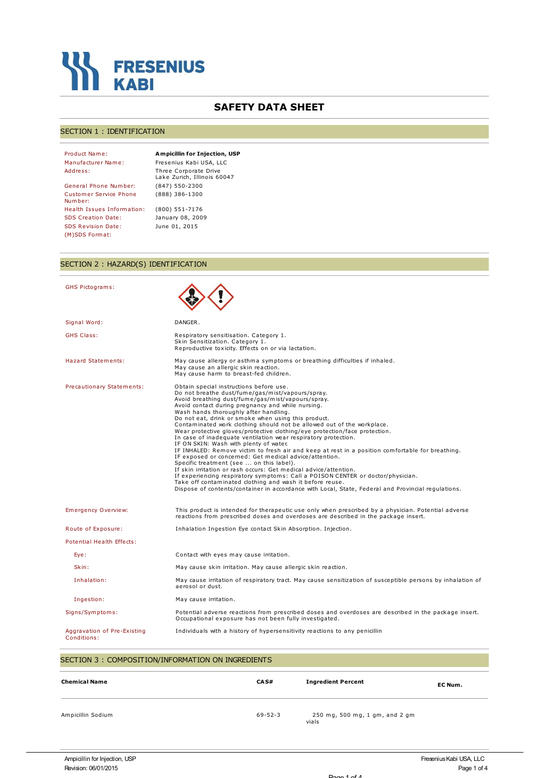

# **SAFETY DATA SHEET**

# SECTION 1 : IDENTIFICATION

(M)SDS Format:

| Product Name:                     | <b>Ampicillin for Injection, US</b>                  |
|-----------------------------------|------------------------------------------------------|
| Manufacturer Name:                | Fresenius Kabi USA, LLC                              |
| Address:                          | Three Corporate Drive<br>Lake Zurich, Illinois 60047 |
| General Phone Number:             | $(847)$ 550-2300                                     |
| Customer Service Phone<br>Number: | $(888)$ 386-1300                                     |
| Health Issues Information:        | $(800)$ 551-7176                                     |
| <b>SDS Creation Date:</b>         | January 08, 2009                                     |
| <b>SDS Revision Date:</b>         | June 01, 2015                                        |

Product Name: **Ampicillin for Injection, USP** USA, LLC (888) 386-1300

# SECTION 2 : HAZARD(S) IDENTIFICATION

| <b>GHS Pictograms:</b>                     |                                                                                                                                                                                                                                                                                                                                                                                                                                                                                                                                                                                                                                                                                                                                                                                                                                                                                                                                                                                                                                                                                                              |
|--------------------------------------------|--------------------------------------------------------------------------------------------------------------------------------------------------------------------------------------------------------------------------------------------------------------------------------------------------------------------------------------------------------------------------------------------------------------------------------------------------------------------------------------------------------------------------------------------------------------------------------------------------------------------------------------------------------------------------------------------------------------------------------------------------------------------------------------------------------------------------------------------------------------------------------------------------------------------------------------------------------------------------------------------------------------------------------------------------------------------------------------------------------------|
| Signal Word:                               | DANGER.                                                                                                                                                                                                                                                                                                                                                                                                                                                                                                                                                                                                                                                                                                                                                                                                                                                                                                                                                                                                                                                                                                      |
| <b>GHS Class:</b>                          | Respiratory sensitisation. Category 1.<br>Skin Sensitization. Category 1.<br>Reproductive toxicity. Effects on or via lactation.                                                                                                                                                                                                                                                                                                                                                                                                                                                                                                                                                                                                                                                                                                                                                                                                                                                                                                                                                                             |
| Hazard Statements:                         | May cause allergy or asthma symptoms or breathing difficulties if inhaled.<br>May cause an allergic skin reaction.<br>May cause harm to breast-fed children.                                                                                                                                                                                                                                                                                                                                                                                                                                                                                                                                                                                                                                                                                                                                                                                                                                                                                                                                                 |
| Precautionary Statements:                  | Obtain special instructions before use.<br>Do not breathe dust/fume/gas/mist/vapours/spray.<br>Avoid breathing dust/fume/gas/mist/vapours/spray.<br>Avoid contact during pregnancy and while nursing.<br>Wash hands thoroughly after handling.<br>Do not eat, drink or smoke when using this product.<br>Contaminated work clothing should not be allowed out of the workplace.<br>Wear protective gloves/protective clothing/eye protection/face protection.<br>In case of inadequate ventilation wear respiratory protection.<br>IF ON SKIN: Wash with plenty of water.<br>IF INHALED: Remove victim to fresh air and keep at rest in a position comfortable for breathing.<br>IF exposed or concerned: Get medical advice/attention.<br>Specific treatment (see  on this label).<br>If skin irritation or rash occurs: Get medical advice/attention.<br>If experiencing respiratory symptoms: Call a POISON CENTER or doctor/physician.<br>Take off contaminated clothing and wash it before reuse.<br>Dispose of contents/container in accordance with Local, State, Federal and Provincial regulations. |
| <b>Emergency Overview:</b>                 | This product is intended for therapeutic use only when prescribed by a physician. Potential adverse<br>reactions from prescribed doses and overdoses are described in the package insert.                                                                                                                                                                                                                                                                                                                                                                                                                                                                                                                                                                                                                                                                                                                                                                                                                                                                                                                    |
| Route of Exposure:                         | Inhalation Ingestion Eye contact Skin Absorption. Injection.                                                                                                                                                                                                                                                                                                                                                                                                                                                                                                                                                                                                                                                                                                                                                                                                                                                                                                                                                                                                                                                 |
| Potential Health Effects:                  |                                                                                                                                                                                                                                                                                                                                                                                                                                                                                                                                                                                                                                                                                                                                                                                                                                                                                                                                                                                                                                                                                                              |
| Eve:                                       | Contact with eyes may cause irritation.                                                                                                                                                                                                                                                                                                                                                                                                                                                                                                                                                                                                                                                                                                                                                                                                                                                                                                                                                                                                                                                                      |
| Skin:                                      | May cause skin irritation. May cause allergic skin reaction.                                                                                                                                                                                                                                                                                                                                                                                                                                                                                                                                                                                                                                                                                                                                                                                                                                                                                                                                                                                                                                                 |
| Inhalation:                                | May cause irritation of respiratory tract. May cause sensitization of susceptible persons by inhalation of<br>aerosol or dust.                                                                                                                                                                                                                                                                                                                                                                                                                                                                                                                                                                                                                                                                                                                                                                                                                                                                                                                                                                               |
| Ingestion:                                 | May cause irritation.                                                                                                                                                                                                                                                                                                                                                                                                                                                                                                                                                                                                                                                                                                                                                                                                                                                                                                                                                                                                                                                                                        |
| Signs/Symptoms:                            | Potential adverse reactions from prescribed doses and overdoses are described in the package insert.<br>Occupational exposure has not been fully investigated.                                                                                                                                                                                                                                                                                                                                                                                                                                                                                                                                                                                                                                                                                                                                                                                                                                                                                                                                               |
| Aggravation of Pre-Existing<br>Conditions: | Individuals with a history of hypersensitivity reactions to any penicillin                                                                                                                                                                                                                                                                                                                                                                                                                                                                                                                                                                                                                                                                                                                                                                                                                                                                                                                                                                                                                                   |

# SECTION 3 : COMPOSITION/INFORMATION ON INGREDIENTS

| <b>Chemical Name</b> | CAS#          | <b>Ingredient Percent</b>               | EC Num. |
|----------------------|---------------|-----------------------------------------|---------|
| Ampicillin Sodium    | $69 - 52 - 3$ | 250 mg, 500 mg, 1 gm, and 2 gm<br>vials |         |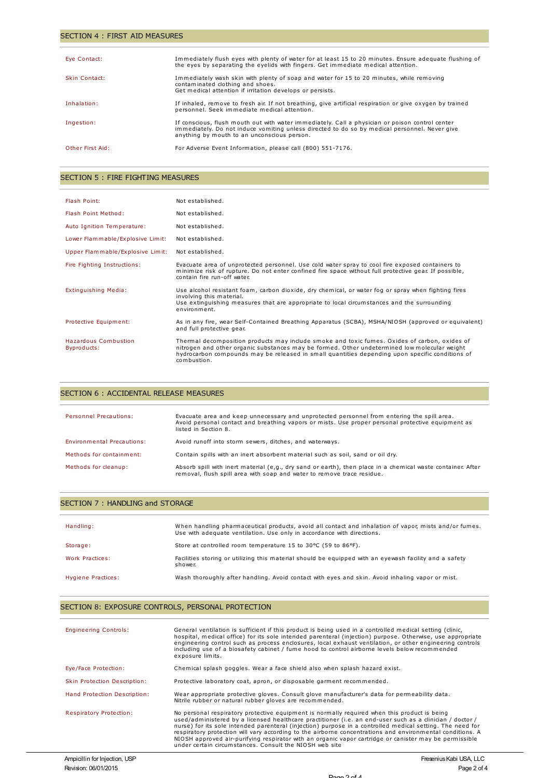# SECTION 4 : FIRST AID MEASURES

| Eye Contact:     | Immediately flush eyes with plenty of water for at least 15 to 20 minutes. Ensure adequate flushing of<br>the eyes by separating the eyelids with fingers. Get immediate medical attention.                                                     |
|------------------|-------------------------------------------------------------------------------------------------------------------------------------------------------------------------------------------------------------------------------------------------|
| Skin Contact:    | Immediately wash skin with plenty of soap and water for 15 to 20 minutes, while removing<br>contaminated clothing and shoes.<br>Get medical attention if irritation develops or persists.                                                       |
| Inhalation:      | If inhaled, remove to fresh air. If not breathing, give artificial respiration or give oxygen by trained<br>personnel. Seek immediate medical attention.                                                                                        |
| Ingestion:       | If conscious, flush mouth out with water immediately. Call a physician or poison control center<br>immediately. Do not induce vomiting unless directed to do so by medical personnel. Never give<br>anything by mouth to an unconscious person. |
| Other First Aid: | For Adverse Event Information, please call (800) 551-7176.                                                                                                                                                                                      |

# SECTION 5 : FIRE FIGHTING MEASURES

| Flash Point:                               | Not established.                                                                                                                                                                                                                                                                                                |
|--------------------------------------------|-----------------------------------------------------------------------------------------------------------------------------------------------------------------------------------------------------------------------------------------------------------------------------------------------------------------|
| Flash Point Method:                        | Not established.                                                                                                                                                                                                                                                                                                |
| Auto Ignition Temperature:                 | Not established.                                                                                                                                                                                                                                                                                                |
| Lower Flammable/Explosive Limit:           | Not established.                                                                                                                                                                                                                                                                                                |
| Upper Flammable/Explosive Limit:           | Not established.                                                                                                                                                                                                                                                                                                |
| Fire Fighting Instructions:                | Evacuate area of unprotected personnel. Use cold water spray to cool fire exposed containers to<br>minimize risk of rupture. Do not enter confined fire space without full protective gear. If possible,<br>contain fire run-off water.                                                                         |
| Extinguishing Media:                       | Use alcohol resistant foam, carbon dioxide, dry chemical, or water fog or spray when fighting fires<br>involving this material.<br>Use extinguishing measures that are appropriate to local circumstances and the surrounding<br>environment.                                                                   |
| Protective Equipment:                      | As in any fire, wear Self-Contained Breathing Apparatus (SCBA), MSHA/NIOSH (approved or equivalent)<br>and full protective gear.                                                                                                                                                                                |
| <b>Hazardous Combustion</b><br>Byproducts: | Thermal decomposition products may include smoke and toxic fumes. Oxides of carbon, oxides of<br>nitrogen and other organic substances may be formed. Other undetermined low molecular weight<br>hydrocarbon compounds may be released in small quantities depending upon specific conditions of<br>combustion. |

# SECTION 6 : ACCIDENTAL RELEASE MEASURES

| <b>Personnel Precautions:</b>     | Evacuate area and keep unnecessary and unprotected personnel from entering the spill area.<br>Avoid personal contact and breathing vapors or mists. Use proper personal protective equipment as<br>listed in Section 8. |
|-----------------------------------|-------------------------------------------------------------------------------------------------------------------------------------------------------------------------------------------------------------------------|
| <b>Environmental Precautions:</b> | Avoid runoff into storm sewers, ditches, and waterways.                                                                                                                                                                 |
| Methods for containment:          | Contain spills with an inert absorbent material such as soil, sand or oil dry.                                                                                                                                          |
| Methods for cleanup:              | Absorb spill with inert material (e,g., dry sand or earth), then place in a chemical waste container. After<br>removal, flush spill area with soap and water to remove trace residue.                                   |

# SECTION 7 : HANDLING and STORAGE

| Handling:          | When handling pharmaceutical products, avoid all contact and inhalation of vapor, mists and/or fumes.<br>Use with adequate ventilation. Use only in accordance with directions. |
|--------------------|---------------------------------------------------------------------------------------------------------------------------------------------------------------------------------|
| Storage:           | Store at controlled room temperature 15 to 30°C (59 to 86°F).                                                                                                                   |
| Work Practices:    | Facilities storing or utilizing this material should be equipped with an eyewash facility and a safety<br>shower.                                                               |
| Hygiene Practices: | Wash thoroughly after handling. Avoid contact with eyes and skin. Avoid inhaling vapor or mist.                                                                                 |
|                    |                                                                                                                                                                                 |

# SECTION 8: EXPOSURE CONTROLS, PERSONAL PROTECTION

| <b>Engineering Controls:</b>   | General ventilation is sufficient if this product is being used in a controlled medical setting (clinic,<br>hospital, medical office) for its sole intended parenteral (injection) purpose. Otherwise, use appropriate<br>engineering control such as process enclosures, local exhaust ventilation, or other engineering controls<br>including use of a biosafety cabinet / fume hood to control airborne levels below recommended<br>exposure limits.                                                                                                                                                 |
|--------------------------------|---------------------------------------------------------------------------------------------------------------------------------------------------------------------------------------------------------------------------------------------------------------------------------------------------------------------------------------------------------------------------------------------------------------------------------------------------------------------------------------------------------------------------------------------------------------------------------------------------------|
| Eye/Face Protection:           | Chemical splash goggles. Wear a face shield also when splash hazard exist.                                                                                                                                                                                                                                                                                                                                                                                                                                                                                                                              |
| Skin Protection Description:   | Protective laboratory coat, apron, or disposable garment recommended.                                                                                                                                                                                                                                                                                                                                                                                                                                                                                                                                   |
| Hand Protection Description:   | Wear appropriate protective gloves. Consult glove manufacturer's data for permeability data.<br>Nitrile rubber or natural rubber gloves are recommended.                                                                                                                                                                                                                                                                                                                                                                                                                                                |
| <b>Respiratory Protection:</b> | No personal respiratory protective equipment is normally required when this product is being<br>used/administered by a licensed healthcare practitioner (i.e. an end-user such as a clinician / doctor /<br>nurse) for its sole intended parenteral (injection) purpose in a controlled medical setting. The need for<br>respiratory protection will vary according to the airborne concentrations and environmental conditions. A<br>NIOSH approved air-purifying respirator with an organic vapor cartridge or canister may be permissible<br>under certain circumstances. Consult the NIOSH web site |
| Ampicillin for Injection, USP  | Fresenius Kabi USA, LLC                                                                                                                                                                                                                                                                                                                                                                                                                                                                                                                                                                                 |
| Revision: 06/01/2015           | Page 2 of 4                                                                                                                                                                                                                                                                                                                                                                                                                                                                                                                                                                                             |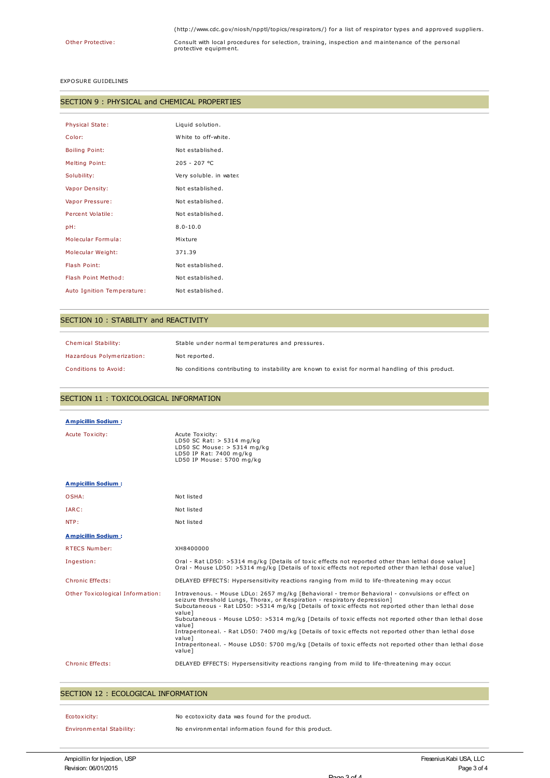Other Protective: Consult with local procedures for selection, training, inspection and maintenance of the personal protective equipment.

#### EXPOSURE GUIDELINES

| <b>Physical State:</b>     | Liquid solution.        |
|----------------------------|-------------------------|
| Color:                     | White to off-white.     |
| <b>Boiling Point:</b>      | Not established.        |
| <b>Melting Point:</b>      | 205 - 207 °C            |
| Solubility:                | Very soluble. in water. |
| Vapor Density:             | Not established.        |
| Vapor Pressure:            | Not established.        |
| Percent Volatile:          | Not established.        |
| pH:                        | $8.0 - 10.0$            |
| Molecular Formula:         | Mixture                 |
| Molecular Weight:          | 371.39                  |
| Flash Point:               | Not established.        |
| Flash Point Method:        | Not established.        |
| Auto Ignition Temperature: | Not established.        |
|                            |                         |

# SECTION 10 : STABILITY and REACTIVITY

Chemical Stability: Stable under normal temperatures and pressures.

Hazardous Polymerization: Not reported.

Conditions to Avoid: No conditions contributing to instability are known to exist for normal handling of this product.

#### SECTION 11 : TOXICOLOGICAL INFORMATION

| <b>Ampicillin Sodium:</b>        |                                                                                                                                                                                                                                                                                                                                                                                                                                                                                                                                                                                                                                                         |
|----------------------------------|---------------------------------------------------------------------------------------------------------------------------------------------------------------------------------------------------------------------------------------------------------------------------------------------------------------------------------------------------------------------------------------------------------------------------------------------------------------------------------------------------------------------------------------------------------------------------------------------------------------------------------------------------------|
| Acute Toxicity:                  | Acute Toxicity:<br>LD50 SC Rat: $>$ 5314 mg/kg<br>LD50 SC Mouse: $>$ 5314 mg/kg<br>LD50 IP Rat: 7400 mg/kg<br>LD50 IP Mouse: 5700 mg/kg                                                                                                                                                                                                                                                                                                                                                                                                                                                                                                                 |
| <b>Ampicillin Sodium:</b>        |                                                                                                                                                                                                                                                                                                                                                                                                                                                                                                                                                                                                                                                         |
| OSHA:                            | Not listed                                                                                                                                                                                                                                                                                                                                                                                                                                                                                                                                                                                                                                              |
| IARC:                            | Not listed                                                                                                                                                                                                                                                                                                                                                                                                                                                                                                                                                                                                                                              |
| NTP:                             | Not listed                                                                                                                                                                                                                                                                                                                                                                                                                                                                                                                                                                                                                                              |
| <b>Ampicillin Sodium:</b>        |                                                                                                                                                                                                                                                                                                                                                                                                                                                                                                                                                                                                                                                         |
| <b>RTECS Number:</b>             | XH8400000                                                                                                                                                                                                                                                                                                                                                                                                                                                                                                                                                                                                                                               |
| Ingestion:                       | Oral - Rat LD50: >5314 mg/kg [Details of toxic effects not reported other than lethal dose value]<br>Oral - Mouse LD50: >5314 mg/kg [Details of toxic effects not reported other than lethal dose value]                                                                                                                                                                                                                                                                                                                                                                                                                                                |
| <b>Chronic Effects:</b>          | DELAYED EFFECTS: Hypersensitivity reactions ranging from mild to life-threatening may occur.                                                                                                                                                                                                                                                                                                                                                                                                                                                                                                                                                            |
| Other Toxicological Information: | Intravenous. - Mouse LDLo: 2657 mg/kg [Behavioral - tremor Behavioral - convulsions or effect on<br>seizure threshold Lungs, Thorax, or Respiration - respiratory depression]<br>Subcutaneous - Rat LD50: >5314 mg/kg [Details of toxic effects not reported other than lethal dose<br>valuel<br>Subcutaneous - Mouse LD50: >5314 mg/kg [Details of toxic effects not reported other than lethal dose<br>valuel<br>Intraperitoneal. - Rat LD50: 7400 mg/kg [Details of toxic effects not reported other than lethal dose<br>valuel<br>Intraperitoneal. - Mouse LD50: 5700 mg/kg [Details of toxic effects not reported other than lethal dose<br>value] |
| Chronic Effects:                 | DELAYED EFFECTS: Hypersensitivity reactions ranging from mild to life-threatening may occur.                                                                                                                                                                                                                                                                                                                                                                                                                                                                                                                                                            |

### SECTION 12 : ECOLOGICAL INFORMATION

| Ecotoxicity: | No ecotoxicity data was found for the product. |  |
|--------------|------------------------------------------------|--|

Environmental Stability: No environmental information found for this product.